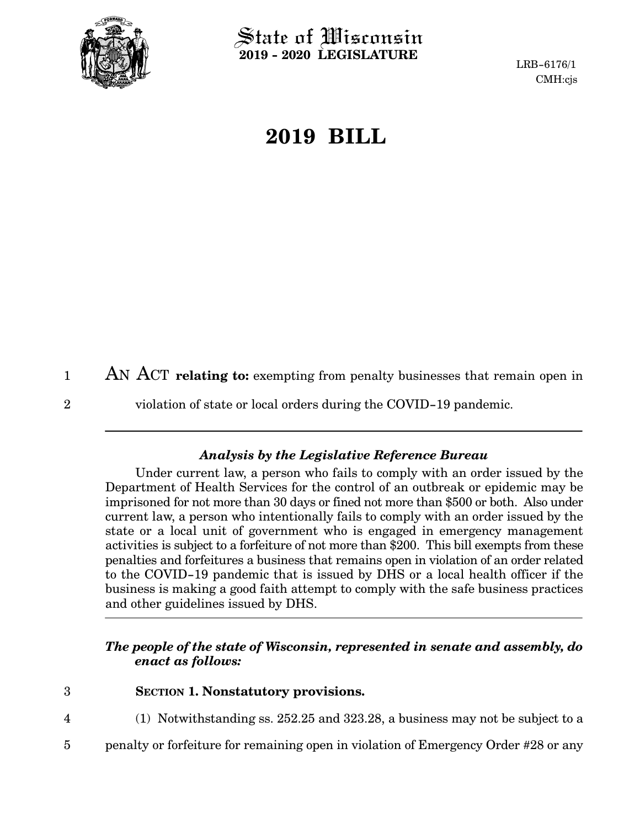

 $\operatorname{\mathsf{State}}$  of Wisconsin **2019 - 2020 LEGISLATURE**

LRB-6176/1 CMH:cjs

## **2019 BILL**

AN ACT **relating to:** exempting from penalty businesses that remain open in 1

2

violation of state or local orders during the COVID-19 pandemic.

## *Analysis by the Legislative Reference Bureau*

Under current law, a person who fails to comply with an order issued by the Department of Health Services for the control of an outbreak or epidemic may be imprisoned for not more than 30 days or fined not more than \$500 or both. Also under current law, a person who intentionally fails to comply with an order issued by the state or a local unit of government who is engaged in emergency management activities is subject to a forfeiture of not more than \$200. This bill exempts from these penalties and forfeitures a business that remains open in violation of an order related to the COVID-19 pandemic that is issued by DHS or a local health officer if the business is making a good faith attempt to comply with the safe business practices and other guidelines issued by DHS.

## *The people of the state of Wisconsin, represented in senate and assembly, do enact as follows:*

- 3
- **SECTION 1. Nonstatutory provisions.**
- (1) Notwithstanding ss. 252.25 and 323.28, a business may not be subject to a 4
- penalty or forfeiture for remaining open in violation of Emergency Order #28 or any 5